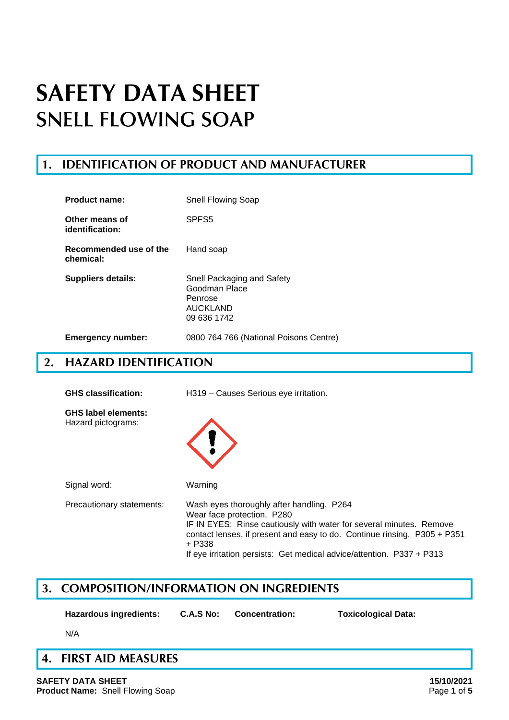### **1. IDENTIFICATION OF PRODUCT AND MANUFACTURER**

| Product name:                       | Snell Flowing Soap                                                                       |
|-------------------------------------|------------------------------------------------------------------------------------------|
| Other means of<br>identification:   | SPFS <sub>5</sub>                                                                        |
| Recommended use of the<br>chemical: | Hand soap                                                                                |
| Suppliers details:                  | Snell Packaging and Safety<br>Goodman Place<br>Penrose<br><b>AUCKLAND</b><br>09 636 1742 |
| <b>Emergency number:</b>            | 0800 764 766 (National Poisons Centre)                                                   |

### **2. HAZARD IDENTIFICATION**

| <b>GHS</b> classification:                       | H319 - Causes Serious eye irritation.                                                                                                                                                                                                                                                                         |  |
|--------------------------------------------------|---------------------------------------------------------------------------------------------------------------------------------------------------------------------------------------------------------------------------------------------------------------------------------------------------------------|--|
| <b>GHS label elements:</b><br>Hazard pictograms: |                                                                                                                                                                                                                                                                                                               |  |
| Signal word:                                     | Warning                                                                                                                                                                                                                                                                                                       |  |
| Precautionary statements:                        | Wash eyes thoroughly after handling. P264<br>Wear face protection. P280<br>IF IN EYES: Rinse cautiously with water for several minutes. Remove<br>contact lenses, if present and easy to do. Continue rinsing. P305 + P351<br>+ P338<br>If eye irritation persists: Get medical advice/attention. P337 + P313 |  |

### **3. COMPOSITION/INFORMATION ON INGREDIENTS**

**Hazardous ingredients: C.A.S No: Concentration: Toxicological Data:**

N/A

## **4. FIRST AID MEASURES**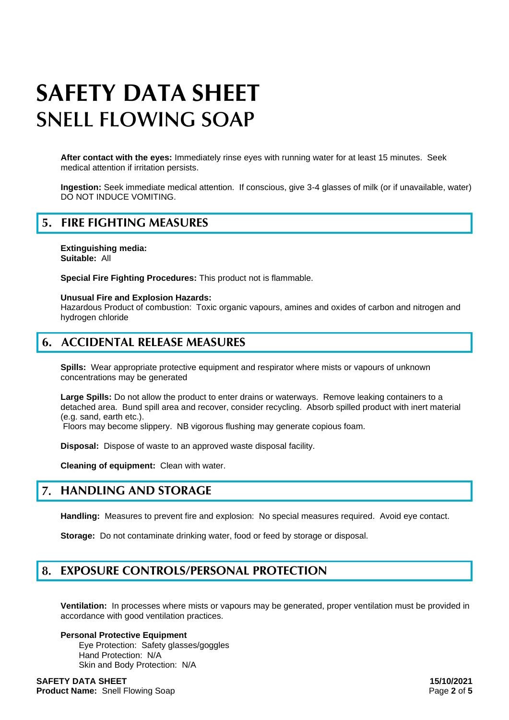**After contact with the eyes:** Immediately rinse eyes with running water for at least 15 minutes. Seek medical attention if irritation persists.

**Ingestion:** Seek immediate medical attention. If conscious, give 3-4 glasses of milk (or if unavailable, water) DO NOT INDUCE VOMITING.

### **5. FIRE FIGHTING MEASURES**

**Extinguishing media: Suitable:** All

**Special Fire Fighting Procedures:** This product not is flammable.

**Unusual Fire and Explosion Hazards:**

Hazardous Product of combustion: Toxic organic vapours, amines and oxides of carbon and nitrogen and hydrogen chloride

### **6. ACCIDENTAL RELEASE MEASURES**

**Spills:** Wear appropriate protective equipment and respirator where mists or vapours of unknown concentrations may be generated

**Large Spills:** Do not allow the product to enter drains or waterways. Remove leaking containers to a detached area. Bund spill area and recover, consider recycling. Absorb spilled product with inert material (e.g. sand, earth etc.).

Floors may become slippery. NB vigorous flushing may generate copious foam.

**Disposal:** Dispose of waste to an approved waste disposal facility.

**Cleaning of equipment:** Clean with water.

#### $\overline{7}$ . **HANDLING AND STORAGE**

**Handling:** Measures to prevent fire and explosion: No special measures required. Avoid eye contact.

**Storage:** Do not contaminate drinking water, food or feed by storage or disposal.

#### **EXPOSURE CONTROLS/PERSONAL PROTECTION** 8.

**Ventilation:** In processes where mists or vapours may be generated, proper ventilation must be provided in accordance with good ventilation practices.

#### **Personal Protective Equipment** Eye Protection: Safety glasses/goggles Hand Protection: N/A Skin and Body Protection: N/A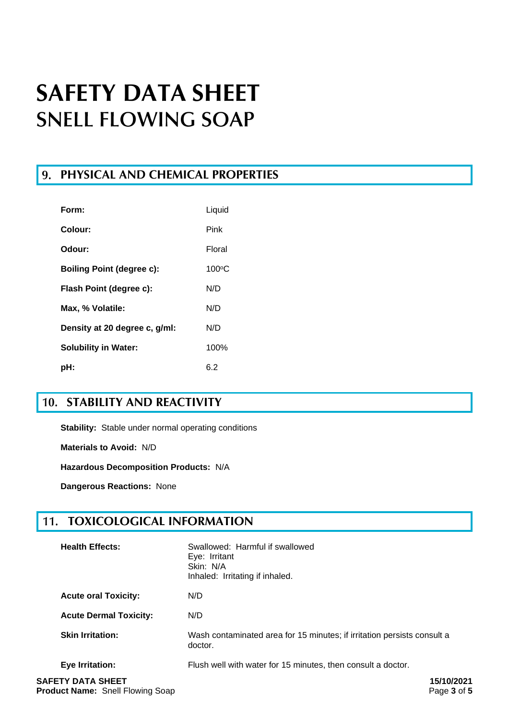### **PHYSICAL AND CHEMICAL PROPERTIES**

| Form:                            | Liquid          |
|----------------------------------|-----------------|
| Colour:                          | Pink            |
| Odour:                           | Floral          |
| <b>Boiling Point (degree c):</b> | $100^{\circ}$ C |
| Flash Point (degree c):          | N/D             |
| Max, % Volatile:                 | N/D             |
| Density at 20 degree c, g/ml:    | N/D             |
| <b>Solubility in Water:</b>      | 100%            |
| :bH                              | 6.2             |

## **10. STABILITY AND REACTIVITY**

**Stability:** Stable under normal operating conditions

**Materials to Avoid:** N/D

**Hazardous Decomposition Products:** N/A

**Dangerous Reactions:** None

#### **TOXICOLOGICAL INFORMATION** 11.

| <b>Health Effects:</b>        | Swallowed: Harmful if swallowed<br>Eye: Irritant<br>Skin: N/A<br>Inhaled: Irritating if inhaled. |
|-------------------------------|--------------------------------------------------------------------------------------------------|
| <b>Acute oral Toxicity:</b>   | N/D                                                                                              |
| <b>Acute Dermal Toxicity:</b> | N/D                                                                                              |
| <b>Skin Irritation:</b>       | Wash contaminated area for 15 minutes; if irritation persists consult a<br>doctor.               |
| Eye Irritation:               | Flush well with water for 15 minutes, then consult a doctor.                                     |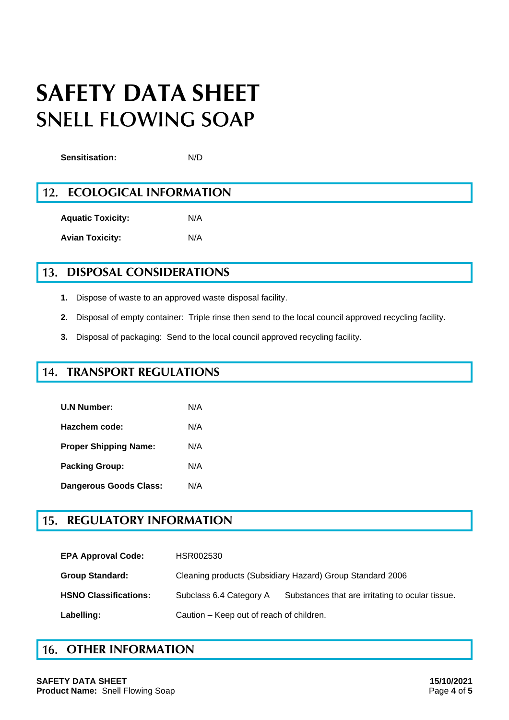**Sensitisation:** N/D

#### $12.$ **ECOLOGICAL INFORMATION**

**Aquatic Toxicity:** N/A **Avian Toxicity:** N/A

#### **13. DISPOSAL CONSIDERATIONS**

- **1.** Dispose of waste to an approved waste disposal facility.
- **2.** Disposal of empty container: Triple rinse then send to the local council approved recycling facility.
- **3.** Disposal of packaging: Send to the local council approved recycling facility.

#### **TRANSPORT REGULATIONS** 14.

| <b>U.N Number:</b>           | N/A |
|------------------------------|-----|
| Hazchem code:                | N/A |
| <b>Proper Shipping Name:</b> | N/A |
| <b>Packing Group:</b>        | N/A |
| Dangerous Goods Class:       | N/A |

#### **REGULATORY INFORMATION** 15.

| <b>EPA Approval Code:</b>    | HSR002530                                                 |                                                  |
|------------------------------|-----------------------------------------------------------|--------------------------------------------------|
| <b>Group Standard:</b>       | Cleaning products (Subsidiary Hazard) Group Standard 2006 |                                                  |
| <b>HSNO Classifications:</b> | Subclass 6.4 Category A                                   | Substances that are irritating to ocular tissue. |
| Labelling:                   | Caution - Keep out of reach of children.                  |                                                  |

### **16. OTHER INFORMATION**